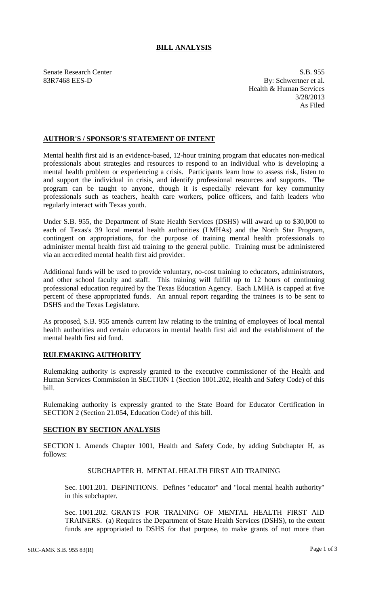## **BILL ANALYSIS**

Senate Research Center S.B. 955 83R7468 EES-D By: Schwertner et al. Health & Human Services 3/28/2013 As Filed

### **AUTHOR'S / SPONSOR'S STATEMENT OF INTENT**

Mental health first aid is an evidence-based, 12-hour training program that educates non-medical professionals about strategies and resources to respond to an individual who is developing a mental health problem or experiencing a crisis. Participants learn how to assess risk, listen to and support the individual in crisis, and identify professional resources and supports. The program can be taught to anyone, though it is especially relevant for key community professionals such as teachers, health care workers, police officers, and faith leaders who regularly interact with Texas youth.

Under S.B. 955, the Department of State Health Services (DSHS) will award up to \$30,000 to each of Texas's 39 local mental health authorities (LMHAs) and the North Star Program, contingent on appropriations, for the purpose of training mental health professionals to administer mental health first aid training to the general public. Training must be administered via an accredited mental health first aid provider.

Additional funds will be used to provide voluntary, no-cost training to educators, administrators, and other school faculty and staff. This training will fulfill up to 12 hours of continuing professional education required by the Texas Education Agency. Each LMHA is capped at five percent of these appropriated funds. An annual report regarding the trainees is to be sent to DSHS and the Texas Legislature.

As proposed, S.B. 955 amends current law relating to the training of employees of local mental health authorities and certain educators in mental health first aid and the establishment of the mental health first aid fund.

# **RULEMAKING AUTHORITY**

Rulemaking authority is expressly granted to the executive commissioner of the Health and Human Services Commission in SECTION 1 (Section 1001.202, Health and Safety Code) of this bill.

Rulemaking authority is expressly granted to the State Board for Educator Certification in SECTION 2 (Section 21.054, Education Code) of this bill.

### **SECTION BY SECTION ANALYSIS**

SECTION 1. Amends Chapter 1001, Health and Safety Code, by adding Subchapter H, as follows:

### SUBCHAPTER H. MENTAL HEALTH FIRST AID TRAINING

Sec. 1001.201. DEFINITIONS. Defines "educator" and "local mental health authority" in this subchapter.

Sec. 1001.202. GRANTS FOR TRAINING OF MENTAL HEALTH FIRST AID TRAINERS. (a) Requires the Department of State Health Services (DSHS), to the extent funds are appropriated to DSHS for that purpose, to make grants of not more than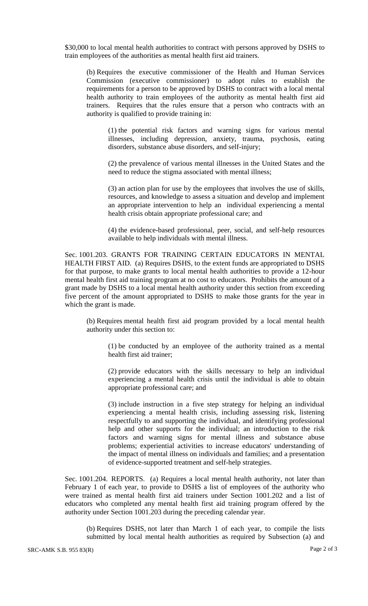\$30,000 to local mental health authorities to contract with persons approved by DSHS to train employees of the authorities as mental health first aid trainers.

(b) Requires the executive commissioner of the Health and Human Services Commission (executive commissioner) to adopt rules to establish the requirements for a person to be approved by DSHS to contract with a local mental health authority to train employees of the authority as mental health first aid trainers. Requires that the rules ensure that a person who contracts with an authority is qualified to provide training in:

(1) the potential risk factors and warning signs for various mental illnesses, including depression, anxiety, trauma, psychosis, eating disorders, substance abuse disorders, and self-injury;

(2) the prevalence of various mental illnesses in the United States and the need to reduce the stigma associated with mental illness;

(3) an action plan for use by the employees that involves the use of skills, resources, and knowledge to assess a situation and develop and implement an appropriate intervention to help an individual experiencing a mental health crisis obtain appropriate professional care; and

(4) the evidence-based professional, peer, social, and self-help resources available to help individuals with mental illness.

Sec. 1001.203. GRANTS FOR TRAINING CERTAIN EDUCATORS IN MENTAL HEALTH FIRST AID. (a) Requires DSHS, to the extent funds are appropriated to DSHS for that purpose, to make grants to local mental health authorities to provide a 12-hour mental health first aid training program at no cost to educators. Prohibits the amount of a grant made by DSHS to a local mental health authority under this section from exceeding five percent of the amount appropriated to DSHS to make those grants for the year in which the grant is made.

(b) Requires mental health first aid program provided by a local mental health authority under this section to:

(1) be conducted by an employee of the authority trained as a mental health first aid trainer;

(2) provide educators with the skills necessary to help an individual experiencing a mental health crisis until the individual is able to obtain appropriate professional care; and

(3) include instruction in a five step strategy for helping an individual experiencing a mental health crisis, including assessing risk, listening respectfully to and supporting the individual, and identifying professional help and other supports for the individual; an introduction to the risk factors and warning signs for mental illness and substance abuse problems; experiential activities to increase educators' understanding of the impact of mental illness on individuals and families; and a presentation of evidence-supported treatment and self-help strategies.

Sec. 1001.204. REPORTS. (a) Requires a local mental health authority, not later than February 1 of each year, to provide to DSHS a list of employees of the authority who were trained as mental health first aid trainers under Section 1001.202 and a list of educators who completed any mental health first aid training program offered by the authority under Section 1001.203 during the preceding calendar year.

(b) Requires DSHS, not later than March 1 of each year, to compile the lists submitted by local mental health authorities as required by Subsection (a) and